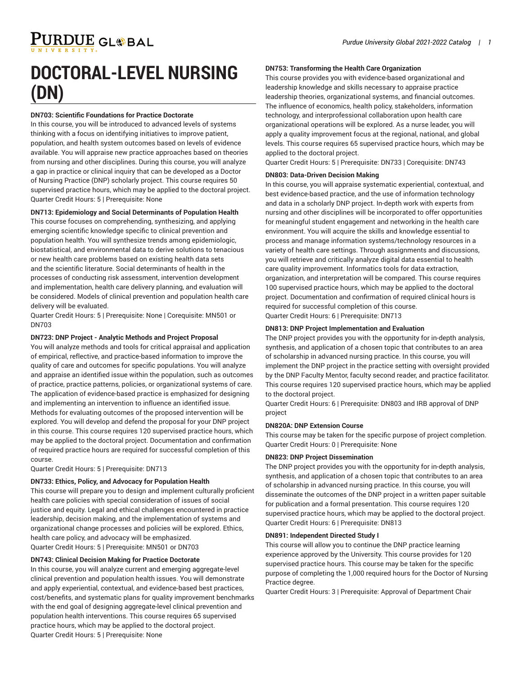# **DOCTORAL-LEVEL NURSING (DN)**

# **DN703: Scientific Foundations for Practice Doctorate**

In this course, you will be introduced to advanced levels of systems thinking with a focus on identifying initiatives to improve patient, population, and health system outcomes based on levels of evidence available. You will appraise new practice approaches based on theories from nursing and other disciplines. During this course, you will analyze a gap in practice or clinical inquiry that can be developed as a Doctor of Nursing Practice (DNP) scholarly project. This course requires 50 supervised practice hours, which may be applied to the doctoral project. Quarter Credit Hours: 5 | Prerequisite: None

# **DN713: Epidemiology and Social Determinants of Population Health**

This course focuses on comprehending, synthesizing, and applying emerging scientific knowledge specific to clinical prevention and population health. You will synthesize trends among epidemiologic, biostatistical, and environmental data to derive solutions to tenacious or new health care problems based on existing health data sets and the scientific literature. Social determinants of health in the processes of conducting risk assessment, intervention development and implementation, health care delivery planning, and evaluation will be considered. Models of clinical prevention and population health care delivery will be evaluated.

Quarter Credit Hours: 5 | Prerequisite: None | Corequisite: MN501 or DN703

# **DN723: DNP Project - Analytic Methods and Project Proposal**

You will analyze methods and tools for critical appraisal and application of empirical, reflective, and practice-based information to improve the quality of care and outcomes for specific populations. You will analyze and appraise an identified issue within the population, such as outcomes of practice, practice patterns, policies, or organizational systems of care. The application of evidence-based practice is emphasized for designing and implementing an intervention to influence an identified issue. Methods for evaluating outcomes of the proposed intervention will be explored. You will develop and defend the proposal for your DNP project in this course. This course requires 120 supervised practice hours, which may be applied to the doctoral project. Documentation and confirmation of required practice hours are required for successful completion of this course.

Quarter Credit Hours: 5 | Prerequisite: DN713

# **DN733: Ethics, Policy, and Advocacy for Population Health**

This course will prepare you to design and implement culturally proficient health care policies with special consideration of issues of social justice and equity. Legal and ethical challenges encountered in practice leadership, decision making, and the implementation of systems and organizational change processes and policies will be explored. Ethics, health care policy, and advocacy will be emphasized. Quarter Credit Hours: 5 | Prerequisite: MN501 or DN703

#### **DN743: Clinical Decision Making for Practice Doctorate**

In this course, you will analyze current and emerging aggregate-level clinical prevention and population health issues. You will demonstrate and apply experiential, contextual, and evidence-based best practices, cost/benefits, and systematic plans for quality improvement benchmarks with the end goal of designing aggregate-level clinical prevention and population health interventions. This course requires 65 supervised practice hours, which may be applied to the doctoral project. Quarter Credit Hours: 5 | Prerequisite: None

# **DN753: Transforming the Health Care Organization**

This course provides you with evidence-based organizational and leadership knowledge and skills necessary to appraise practice leadership theories, organizational systems, and financial outcomes. The influence of economics, health policy, stakeholders, information technology, and interprofessional collaboration upon health care organizational operations will be explored. As a nurse leader, you will apply a quality improvement focus at the regional, national, and global levels. This course requires 65 supervised practice hours, which may be applied to the doctoral project.

Quarter Credit Hours: 5 | Prerequisite: DN733 | Corequisite: DN743

### **DN803: Data-Driven Decision Making**

In this course, you will appraise systematic experiential, contextual, and best evidence-based practice, and the use of information technology and data in a scholarly DNP project. In-depth work with experts from nursing and other disciplines will be incorporated to offer opportunities for meaningful student engagement and networking in the health care environment. You will acquire the skills and knowledge essential to process and manage information systems/technology resources in a variety of health care settings. Through assignments and discussions, you will retrieve and critically analyze digital data essential to health care quality improvement. Informatics tools for data extraction, organization, and interpretation will be compared. This course requires 100 supervised practice hours, which may be applied to the doctoral project. Documentation and confirmation of required clinical hours is required for successful completion of this course. Quarter Credit Hours: 6 | Prerequisite: DN713

# **DN813: DNP Project Implementation and Evaluation**

The DNP project provides you with the opportunity for in-depth analysis, synthesis, and application of a chosen topic that contributes to an area of scholarship in advanced nursing practice. In this course, you will implement the DNP project in the practice setting with oversight provided by the DNP Faculty Mentor, faculty second reader, and practice facilitator. This course requires 120 supervised practice hours, which may be applied to the doctoral project.

Quarter Credit Hours: 6 | Prerequisite: DN803 and IRB approval of DNP project

#### **DN820A: DNP Extension Course**

This course may be taken for the specific purpose of project completion. Quarter Credit Hours: 0 | Prerequisite: None

#### **DN823: DNP Project Dissemination**

The DNP project provides you with the opportunity for in-depth analysis, synthesis, and application of a chosen topic that contributes to an area of scholarship in advanced nursing practice. In this course, you will disseminate the outcomes of the DNP project in a written paper suitable for publication and a formal presentation. This course requires 120 supervised practice hours, which may be applied to the doctoral project. Quarter Credit Hours: 6 | Prerequisite: DN813

# **DN891: Independent Directed Study I**

This course will allow you to continue the DNP practice learning experience approved by the University. This course provides for 120 supervised practice hours. This course may be taken for the specific purpose of completing the 1,000 required hours for the Doctor of Nursing Practice degree.

Quarter Credit Hours: 3 | Prerequisite: Approval of Department Chair